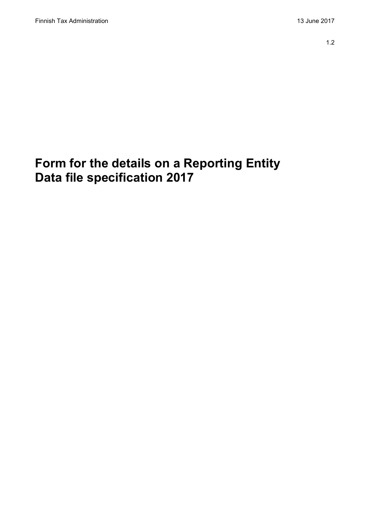# **Form for the details on a Reporting Entity Data file specification 2017**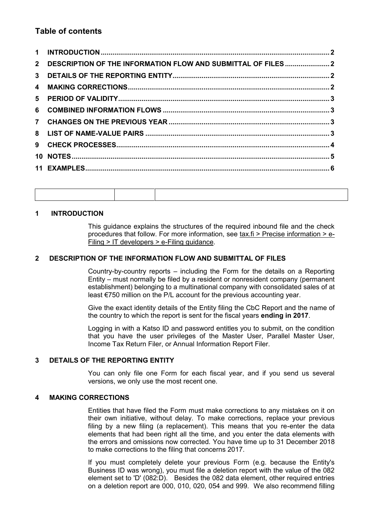# **Table of contents**

| 2 DESCRIPTION OF THE INFORMATION FLOW AND SUBMITTAL OF FILES 2 |  |
|----------------------------------------------------------------|--|
|                                                                |  |
|                                                                |  |
|                                                                |  |
|                                                                |  |
|                                                                |  |
|                                                                |  |
|                                                                |  |
|                                                                |  |
|                                                                |  |

### <span id="page-1-0"></span>**1 INTRODUCTION**

This guidance explains the structures of the required inbound file and the check procedures that follow. For more information, see tax.fi > Precise information > e-Filing > IT developers > e-Filing guidance.

#### <span id="page-1-1"></span>**2 DESCRIPTION OF THE INFORMATION FLOW AND SUBMITTAL OF FILES**

Country-by-country reports – including the Form for the details on a Reporting Entity – must normally be filed by a resident or nonresident company (permanent establishment) belonging to a multinational company with consolidated sales of at least €750 million on the P/L account for the previous accounting year.

Give the exact identity details of the Entity filing the CbC Report and the name of the country to which the report is sent for the fiscal years **ending in 2017**.

Logging in with a Katso ID and password entitles you to submit, on the condition that you have the user privileges of the Master User, Parallel Master User, Income Tax Return Filer, or Annual Information Report Filer.

#### <span id="page-1-2"></span>**3 DETAILS OF THE REPORTING ENTITY**

You can only file one Form for each fiscal year, and if you send us several versions, we only use the most recent one.

#### <span id="page-1-3"></span>**4 MAKING CORRECTIONS**

Entities that have filed the Form must make corrections to any mistakes on it on their own initiative, without delay. To make corrections, replace your previous filing by a new filing (a replacement). This means that you re-enter the data elements that had been right all the time, and you enter the data elements with the errors and omissions now corrected. You have time up to 31 December 2018 to make corrections to the filing that concerns 2017.

If you must completely delete your previous Form (e.g. because the Entity's Business ID was wrong), you must file a deletion report with the value of the 082 element set to 'D' (082:D). Besides the 082 data element, other required entries on a deletion report are 000, 010, 020, 054 and 999. We also recommend filling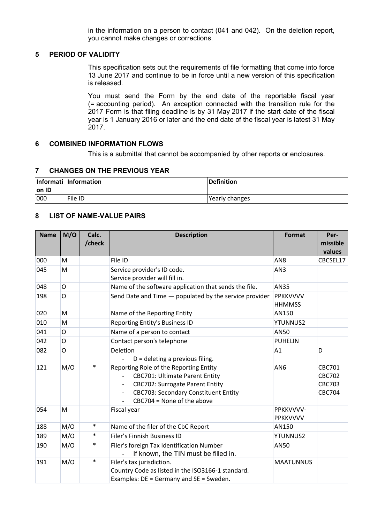in the information on a person to contact (041 and 042). On the deletion report, you cannot make changes or corrections.

#### <span id="page-2-0"></span>**5 PERIOD OF VALIDITY**

This specification sets out the requirements of file formatting that come into force 13 June 2017 and continue to be in force until a new version of this specification is released.

You must send the Form by the end date of the reportable fiscal year (= accounting period). An exception connected with the transition rule for the 2017 Form is that filing deadline is by 31 May 2017 if the start date of the fiscal year is 1 January 2016 or later and the end date of the fiscal year is latest 31 May 2017.

#### <span id="page-2-1"></span>**6 COMBINED INFORMATION FLOWS**

This is a submittal that cannot be accompanied by other reports or enclosures.

#### <span id="page-2-2"></span>**7 CHANGES ON THE PREVIOUS YEAR**

| lon ID | Informati Information | Definition     |
|--------|-----------------------|----------------|
| 000    | File ID               | Yearly changes |

### <span id="page-2-3"></span>**8 LIST OF NAME-VALUE PAIRS**

| <b>Name</b> | M/O          | Calc.<br>/check | <b>Description</b>                                                                                                                                                                                       | <b>Format</b>                    | Per-<br>missible<br>values                                |
|-------------|--------------|-----------------|----------------------------------------------------------------------------------------------------------------------------------------------------------------------------------------------------------|----------------------------------|-----------------------------------------------------------|
| 000         | M            |                 | File ID                                                                                                                                                                                                  | AN <sub>8</sub>                  | CBCSEL17                                                  |
| 045         | M            |                 | Service provider's ID code.<br>Service provider will fill in.                                                                                                                                            | AN3                              |                                                           |
| 048         | O            |                 | Name of the software application that sends the file.                                                                                                                                                    | <b>AN35</b>                      |                                                           |
| 198         | $\mathsf{O}$ |                 | Send Date and Time - populated by the service provider                                                                                                                                                   | <b>PPKKVVVV</b><br><b>HHMMSS</b> |                                                           |
| 020         | M            |                 | Name of the Reporting Entity                                                                                                                                                                             | AN150                            |                                                           |
| 010         | M            |                 | Reporting Entity's Business ID                                                                                                                                                                           | <b>YTUNNUS2</b>                  |                                                           |
| 041         | O            |                 | Name of a person to contact                                                                                                                                                                              | AN50                             |                                                           |
| 042         | O            |                 | Contact person's telephone                                                                                                                                                                               | <b>PUHELIN</b>                   |                                                           |
| 082         | $\circ$      |                 | Deletion<br>$D =$ deleting a previous filing.                                                                                                                                                            | A1                               | D                                                         |
| 121         | M/O          | $\ast$          | Reporting Role of the Reporting Entity<br><b>CBC701: Ultimate Parent Entity</b><br><b>CBC702: Surrogate Parent Entity</b><br><b>CBC703: Secondary Constituent Entity</b><br>$CBC704 = None of the above$ | AN <sub>6</sub>                  | CBC701<br><b>CBC702</b><br><b>CBC703</b><br><b>CBC704</b> |
| 054         | M            |                 | Fiscal year                                                                                                                                                                                              | PPKKVVVV-<br><b>PPKKVVVV</b>     |                                                           |
| 188         | M/O          | $\ast$          | Name of the filer of the CbC Report                                                                                                                                                                      | AN150                            |                                                           |
| 189         | M/O          | $\ast$          | Filer's Finnish Business ID                                                                                                                                                                              | <b>YTUNNUS2</b>                  |                                                           |
| 190         | M/O          | $\ast$          | Filer's foreign Tax Identification Number<br>If known, the TIN must be filled in.                                                                                                                        | AN50                             |                                                           |
| 191         | M/O          | $\ast$          | Filer's tax jurisdiction.<br>Country Code as listed in the ISO3166-1 standard.<br>Examples: DE = Germany and SE = Sweden.                                                                                | <b>MAATUNNUS</b>                 |                                                           |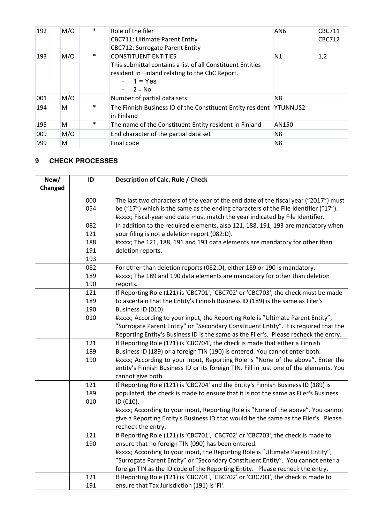| 192 | M/O | $\ast$ | Role of the filer<br><b>CBC711: Ultimate Parent Entity</b><br><b>CBC712: Surrogate Parent Entity</b>                                                                  | AN <sub>6</sub> | <b>CBC711</b><br><b>CBC712</b> |
|-----|-----|--------|-----------------------------------------------------------------------------------------------------------------------------------------------------------------------|-----------------|--------------------------------|
| 193 | M/O | $\ast$ | <b>CONSTITUENT ENTITIES</b><br>This submittal contains a list of all Constituent Entities<br>resident in Finland relating to the CbC Report.<br>$1 = Yes$<br>$2 = No$ | N1              | 1,2                            |
| 001 | M/O |        | Number of partial data sets                                                                                                                                           | N <sub>8</sub>  |                                |
| 194 | м   | $\ast$ | The Finnish Business ID of the Constituent Entity resident<br>in Finland                                                                                              | <b>YTUNNUS2</b> |                                |
| 195 | м   | ∗      | The name of the Constituent Entity resident in Finland                                                                                                                | AN150           |                                |
| 009 | M/O |        | End character of the partial data set                                                                                                                                 | N8              |                                |
| 999 | м   |        | Final code                                                                                                                                                            | N <sub>8</sub>  |                                |

# <span id="page-3-0"></span>**9 CHECK PROCESSES**

| New/    | ID  | Description of Calc. Rule / Check                                                                         |  |
|---------|-----|-----------------------------------------------------------------------------------------------------------|--|
| Changed |     |                                                                                                           |  |
|         | 000 | The last two characters of the year of the end date of the fiscal year ("2017") must                      |  |
|         | 054 | be ("17") which is the same as the ending characters of the File Identifier ("17").                       |  |
|         |     | #xxxx; Fiscal-year end date must match the year indicated by File Identifier.                             |  |
|         | 082 | In addition to the required elements, also 121, 188, 191, 193 are mandatory when                          |  |
|         | 121 | your filing is not a deletion report (082:D).                                                             |  |
|         | 188 | #xxxx; The 121, 188, 191 and 193 data elements are mandatory for other than                               |  |
|         | 191 | deletion reports.                                                                                         |  |
|         | 193 |                                                                                                           |  |
|         | 082 | For other than deletion reports (082:D), either 189 or 190 is mandatory.                                  |  |
|         | 189 | #xxxx; The 189 and 190 data elements are mandatory for other than deletion                                |  |
|         | 190 | reports.                                                                                                  |  |
|         | 121 | If Reporting Role (121) is 'CBC701', 'CBC702' or 'CBC703', the check must be made                         |  |
|         | 189 | to ascertain that the Entity's Finnish Business ID (189) is the same as Filer's                           |  |
|         | 190 | Business ID (010).                                                                                        |  |
|         | 010 | #xxxx; According to your input, the Reporting Role is "Ultimate Parent Entity",                           |  |
|         |     | "Surrogate Parent Entity" or "Secondary Constituent Entity". It is required that the                      |  |
|         |     | Reporting Entity's Business ID is the same as the Filer's. Please recheck the entry.                      |  |
|         | 121 | If Reporting Role (121) is 'CBC704', the check is made that either a Finnish                              |  |
|         | 189 | Business ID (189) or a foreign TIN (190) is entered. You cannot enter both.                               |  |
|         | 190 | #xxxx; According to your input, Reporting Role is "None of the above". Enter the                          |  |
|         |     | entity's Finnish Business ID or its foreign TIN. Fill in just one of the elements. You                    |  |
|         |     | cannot give both.                                                                                         |  |
|         | 121 | If Reporting Role (121) is 'CBC704' and the Entity's Finnish Business ID (189) is                         |  |
|         | 189 | populated, the check is made to ensure that it is not the same as Filer's Business                        |  |
|         | 010 | ID (010).                                                                                                 |  |
|         |     | #xxxx; According to your input, Reporting Role is "None of the above". You cannot                         |  |
|         |     | give a Reporting Entity's Business ID that would be the same as the Filer's. Please<br>recheck the entry. |  |
|         | 121 | If Reporting Role (121) is 'CBC701', 'CBC702' or 'CBC703', the check is made to                           |  |
|         | 190 | ensure that no foreign TIN (090) has been entered.                                                        |  |
|         |     | #xxxx; According to your input, the Reporting Role is "Ultimate Parent Entity",                           |  |
|         |     | "Surrogate Parent Entity" or "Secondary Constituent Entity". You cannot enter a                           |  |
|         |     | foreign TIN as the ID code of the Reporting Entity. Please recheck the entry.                             |  |
|         | 121 | If Reporting Role (121) is 'CBC701', 'CBC702' or 'CBC703', the check is made to                           |  |
|         | 191 | ensure that Tax Jurisdiction (191) is 'FI'.                                                               |  |
|         |     |                                                                                                           |  |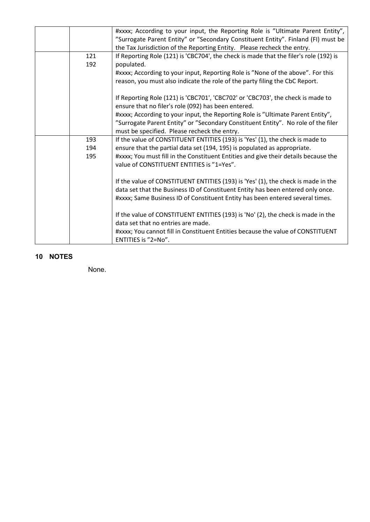|     | #xxxx; According to your input, the Reporting Role is "Ultimate Parent Entity",                        |
|-----|--------------------------------------------------------------------------------------------------------|
|     | "Surrogate Parent Entity" or "Secondary Constituent Entity". Finland (FI) must be                      |
|     | the Tax Jurisdiction of the Reporting Entity. Please recheck the entry.                                |
| 121 | If Reporting Role (121) is 'CBC704', the check is made that the filer's role (192) is                  |
| 192 | populated.                                                                                             |
|     | #xxxx; According to your input, Reporting Role is "None of the above". For this                        |
|     | reason, you must also indicate the role of the party filing the CbC Report.                            |
|     | If Reporting Role (121) is 'CBC701', 'CBC702' or 'CBC703', the check is made to                        |
|     | ensure that no filer's role (092) has been entered.                                                    |
|     | #xxxx; According to your input, the Reporting Role is "Ultimate Parent Entity",                        |
|     | "Surrogate Parent Entity" or "Secondary Constituent Entity". No role of the filer                      |
|     | must be specified. Please recheck the entry.                                                           |
| 193 | If the value of CONSTITUENT ENTITIES (193) is 'Yes' (1), the check is made to                          |
| 194 | ensure that the partial data set (194, 195) is populated as appropriate.                               |
| 195 | #xxxx; You must fill in the Constituent Entities and give their details because the                    |
|     | value of CONSTITUENT ENTITIES is "1=Yes".                                                              |
|     | If the value of CONSTITUENT ENTITIES (193) is 'Yes' (1), the check is made in the                      |
|     | data set that the Business ID of Constituent Entity has been entered only once.                        |
|     | #xxxx; Same Business ID of Constituent Entity has been entered several times.                          |
|     |                                                                                                        |
|     | If the value of CONSTITUENT ENTITIES (193) is 'No' (2), the check is made in the                       |
|     | data set that no entries are made.                                                                     |
|     | #xxxx; You cannot fill in Constituent Entities because the value of CONSTITUENT<br>ENTITIES is "2=No". |
|     |                                                                                                        |

## <span id="page-4-0"></span>**10 NOTES**

None.